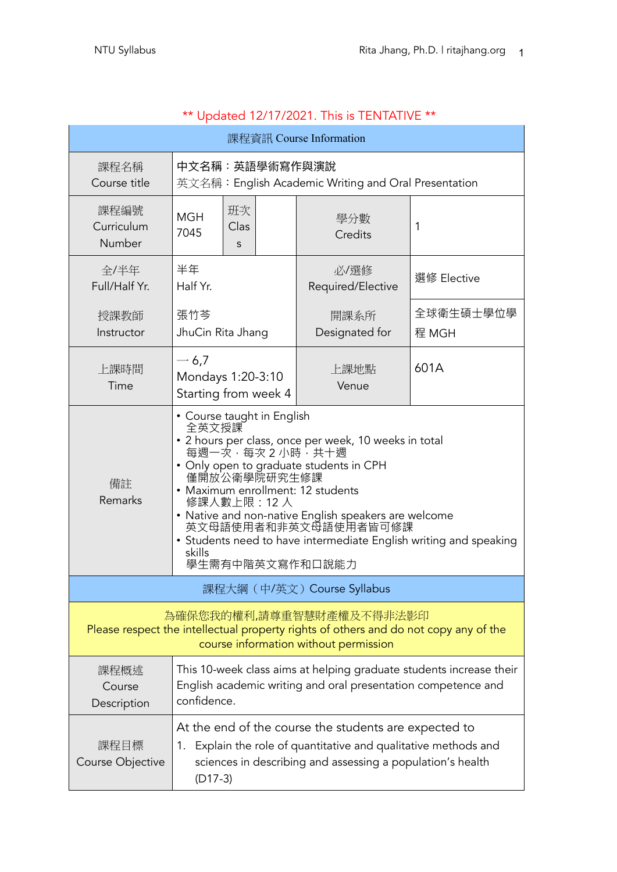| 課程資訊 Course Information                                                                                                                                                                                                                                                                                                                                                                                                           |                                                                                                                                                     |  |                             |                    |
|-----------------------------------------------------------------------------------------------------------------------------------------------------------------------------------------------------------------------------------------------------------------------------------------------------------------------------------------------------------------------------------------------------------------------------------|-----------------------------------------------------------------------------------------------------------------------------------------------------|--|-----------------------------|--------------------|
| 課程名稱<br>Course title                                                                                                                                                                                                                                                                                                                                                                                                              | 中文名稱:英語學術寫作與演說<br>英文名稱: English Academic Writing and Oral Presentation                                                                              |  |                             |                    |
| 課程編號<br>Curriculum<br>Number                                                                                                                                                                                                                                                                                                                                                                                                      | 班次<br><b>MGH</b><br>Clas<br>7045<br>S                                                                                                               |  | 學分數<br>Credits              | 1                  |
| 全/半年<br>Full/Half Yr.                                                                                                                                                                                                                                                                                                                                                                                                             | 半年<br>Half Yr.                                                                                                                                      |  | 必/選修<br>Required/Elective   | 選修 Elective        |
| 授課教師<br>Instructor                                                                                                                                                                                                                                                                                                                                                                                                                | 張竹芩<br>JhuCin Rita Jhang                                                                                                                            |  | 開課系所<br>Designated for      | 全球衛生碩士學位學<br>程 MGH |
| 上課時間<br>Time                                                                                                                                                                                                                                                                                                                                                                                                                      | $-6,7$<br>Mondays 1:20-3:10<br>Starting from week 4                                                                                                 |  | 上課地點<br>Venue               | 601A               |
| • Course taught in English<br>全英文授課<br>• 2 hours per class, once per week, 10 weeks in total<br>每週一次,每次2小時,共十週<br>• Only open to graduate students in CPH<br>僅開放公衛學院研究生修課<br>備註<br>• Maximum enrollment: 12 students<br>Remarks<br>修課人數上限: 12 人<br>• Native and non-native English speakers are welcome<br>英文母語使用者和非英文母語使用者皆可修課<br>• Students need to have intermediate English writing and speaking<br>skills<br>學生需有中階英文寫作和口說能力 |                                                                                                                                                     |  |                             |                    |
|                                                                                                                                                                                                                                                                                                                                                                                                                                   |                                                                                                                                                     |  | 課程大綱 (中/英文) Course Syllabus |                    |
| 為確保您我的權利,請尊重智慧財產權及不得非法影印<br>Please respect the intellectual property rights of others and do not copy any of the<br>course information without permission                                                                                                                                                                                                                                                                         |                                                                                                                                                     |  |                             |                    |
| 課程概述<br>Course<br>Description                                                                                                                                                                                                                                                                                                                                                                                                     | This 10-week class aims at helping graduate students increase their<br>English academic writing and oral presentation competence and<br>confidence. |  |                             |                    |
| At the end of the course the students are expected to<br>課程目標<br>Explain the role of quantitative and qualitative methods and<br>1.<br>sciences in describing and assessing a population's health<br>Course Objective<br>$(D17-3)$                                                                                                                                                                                                |                                                                                                                                                     |  |                             |                    |

#### \*\* Updated 12/17/2021. This is TENTATIVE \*\*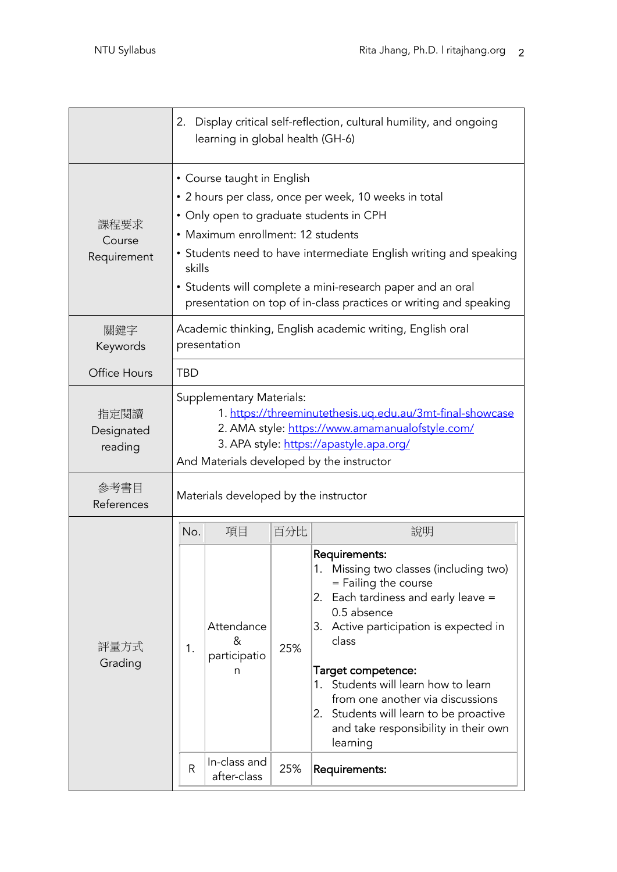|                               | 2.                                                                                                                                                                                                                                                                                                                                                                                    | learning in global health (GH-6)     |     | Display critical self-reflection, cultural humility, and ongoing                                                                                                                                                                                                                                                                                                                           |
|-------------------------------|---------------------------------------------------------------------------------------------------------------------------------------------------------------------------------------------------------------------------------------------------------------------------------------------------------------------------------------------------------------------------------------|--------------------------------------|-----|--------------------------------------------------------------------------------------------------------------------------------------------------------------------------------------------------------------------------------------------------------------------------------------------------------------------------------------------------------------------------------------------|
| 課程要求<br>Course<br>Requirement | • Course taught in English<br>• 2 hours per class, once per week, 10 weeks in total<br>• Only open to graduate students in CPH<br>• Maximum enrollment: 12 students<br>• Students need to have intermediate English writing and speaking<br>skills<br>• Students will complete a mini-research paper and an oral<br>presentation on top of in-class practices or writing and speaking |                                      |     |                                                                                                                                                                                                                                                                                                                                                                                            |
| 關鍵字<br>Keywords               | Academic thinking, English academic writing, English oral<br>presentation                                                                                                                                                                                                                                                                                                             |                                      |     |                                                                                                                                                                                                                                                                                                                                                                                            |
| Office Hours                  | <b>TBD</b>                                                                                                                                                                                                                                                                                                                                                                            |                                      |     |                                                                                                                                                                                                                                                                                                                                                                                            |
| 指定閱讀<br>Designated<br>reading | <b>Supplementary Materials:</b><br>1. https://threeminutethesis.uq.edu.au/3mt-final-showcase<br>2. AMA style: https://www.amamanualofstyle.com/<br>3. APA style: https://apastyle.apa.org/<br>And Materials developed by the instructor                                                                                                                                               |                                      |     |                                                                                                                                                                                                                                                                                                                                                                                            |
| 參考書目<br>References            | Materials developed by the instructor                                                                                                                                                                                                                                                                                                                                                 |                                      |     |                                                                                                                                                                                                                                                                                                                                                                                            |
|                               | No.                                                                                                                                                                                                                                                                                                                                                                                   | 項目                                   | 百分比 | 說明                                                                                                                                                                                                                                                                                                                                                                                         |
| 評量方式<br>Grading               | 1.                                                                                                                                                                                                                                                                                                                                                                                    | Attendance<br>&<br>participatio<br>n | 25% | Requirements:<br>1. Missing two classes (including two)<br>= Failing the course<br>Each tardiness and early leave =<br>2.<br>0.5 absence<br>3. Active participation is expected in<br>class<br>Target competence:<br>1. Students will learn how to learn<br>from one another via discussions<br>2. Students will learn to be proactive<br>and take responsibility in their own<br>learning |
|                               | R                                                                                                                                                                                                                                                                                                                                                                                     | In-class and<br>after-class          | 25% | Requirements:                                                                                                                                                                                                                                                                                                                                                                              |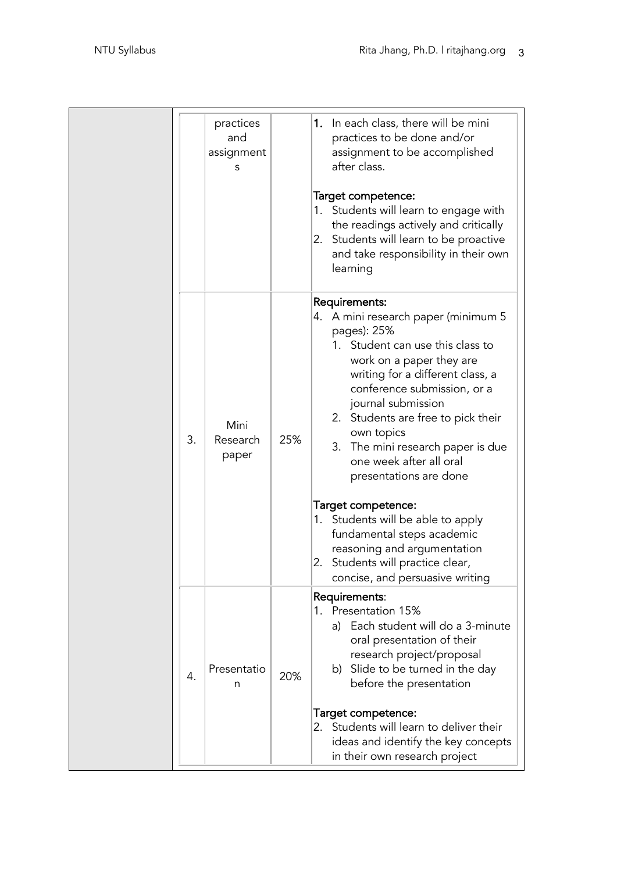|    | practices<br>and<br>assignment<br>S |     | 1. In each class, there will be mini<br>practices to be done and/or<br>assignment to be accomplished<br>after class.<br>Target competence:<br>1. Students will learn to engage with<br>the readings actively and critically<br>2. Students will learn to be proactive<br>and take responsibility in their own<br>learning                                                                                                                                                                                                                                                    |
|----|-------------------------------------|-----|------------------------------------------------------------------------------------------------------------------------------------------------------------------------------------------------------------------------------------------------------------------------------------------------------------------------------------------------------------------------------------------------------------------------------------------------------------------------------------------------------------------------------------------------------------------------------|
| 3. | Mini<br>Research<br>paper           | 25% | Requirements:<br>4. A mini research paper (minimum 5<br>pages): 25%<br>1. Student can use this class to<br>work on a paper they are<br>writing for a different class, a<br>conference submission, or a<br>journal submission<br>2. Students are free to pick their<br>own topics<br>The mini research paper is due<br>3.<br>one week after all oral<br>presentations are done<br>Target competence:<br>1. Students will be able to apply<br>fundamental steps academic<br>reasoning and argumentation<br>2. Students will practice clear,<br>concise, and persuasive writing |
| 4. | Presentatio<br>n                    | 20% | Requirements:<br>1. Presentation 15%<br>Each student will do a 3-minute<br>a)<br>oral presentation of their<br>research project/proposal<br>b) Slide to be turned in the day<br>before the presentation<br>Target competence:<br>2. Students will learn to deliver their<br>ideas and identify the key concepts<br>in their own research project                                                                                                                                                                                                                             |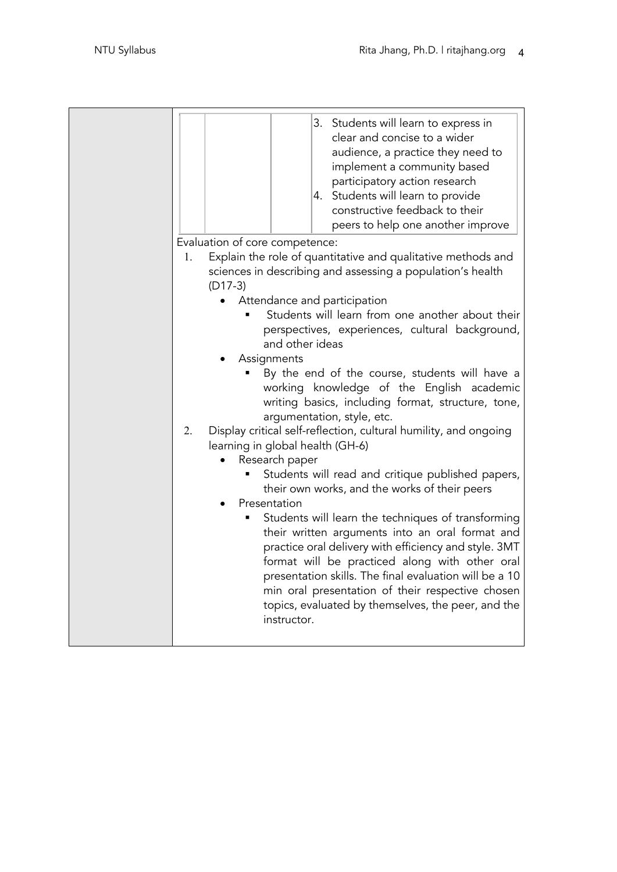| 3. Students will learn to express in<br>clear and concise to a wider<br>audience, a practice they need to<br>implement a community based<br>participatory action research<br>4. Students will learn to provide<br>constructive feedback to their<br>peers to help one another improve<br>Evaluation of core competence:<br>Explain the role of quantitative and qualitative methods and<br>1.<br>sciences in describing and assessing a population's health<br>$(D17-3)$<br>Attendance and participation<br>Students will learn from one another about their<br>perspectives, experiences, cultural background,<br>and other ideas<br>Assignments<br>By the end of the course, students will have a<br>working knowledge of the English academic<br>writing basics, including format, structure, tone,<br>argumentation, style, etc.<br>Display critical self-reflection, cultural humility, and ongoing<br>2.<br>learning in global health (GH-6)<br>Research paper<br>Students will read and critique published papers,<br>their own works, and the works of their peers<br>Presentation<br>Students will learn the techniques of transforming<br>their written arguments into an oral format and<br>practice oral delivery with efficiency and style. 3MT<br>format will be practiced along with other oral<br>presentation skills. The final evaluation will be a 10<br>min oral presentation of their respective chosen<br>topics, evaluated by themselves, the peer, and the<br>instructor. |  |
|---------------------------------------------------------------------------------------------------------------------------------------------------------------------------------------------------------------------------------------------------------------------------------------------------------------------------------------------------------------------------------------------------------------------------------------------------------------------------------------------------------------------------------------------------------------------------------------------------------------------------------------------------------------------------------------------------------------------------------------------------------------------------------------------------------------------------------------------------------------------------------------------------------------------------------------------------------------------------------------------------------------------------------------------------------------------------------------------------------------------------------------------------------------------------------------------------------------------------------------------------------------------------------------------------------------------------------------------------------------------------------------------------------------------------------------------------------------------------------------------------|--|
|---------------------------------------------------------------------------------------------------------------------------------------------------------------------------------------------------------------------------------------------------------------------------------------------------------------------------------------------------------------------------------------------------------------------------------------------------------------------------------------------------------------------------------------------------------------------------------------------------------------------------------------------------------------------------------------------------------------------------------------------------------------------------------------------------------------------------------------------------------------------------------------------------------------------------------------------------------------------------------------------------------------------------------------------------------------------------------------------------------------------------------------------------------------------------------------------------------------------------------------------------------------------------------------------------------------------------------------------------------------------------------------------------------------------------------------------------------------------------------------------------|--|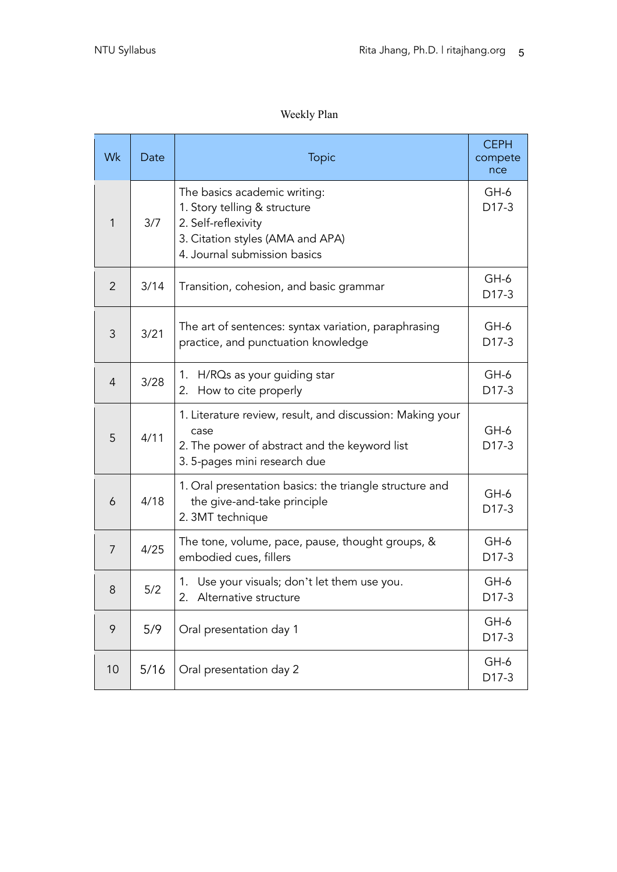#### Weekly Plan

| Wk             | Date | <b>Topic</b>                                                                                                                                            | <b>CEPH</b><br>compete<br>nce |
|----------------|------|---------------------------------------------------------------------------------------------------------------------------------------------------------|-------------------------------|
| 1              | 3/7  | The basics academic writing:<br>1. Story telling & structure<br>2. Self-reflexivity<br>3. Citation styles (AMA and APA)<br>4. Journal submission basics | $GH-6$<br>D17-3               |
| $\overline{2}$ | 3/14 | Transition, cohesion, and basic grammar                                                                                                                 | $GH-6$<br>D17-3               |
| 3              | 3/21 | The art of sentences: syntax variation, paraphrasing<br>practice, and punctuation knowledge                                                             | GH-6<br>D17-3                 |
| $\overline{4}$ | 3/28 | 1. H/RQs as your guiding star<br>How to cite properly<br>2.                                                                                             | $GH-6$<br>D17-3               |
| 5              | 4/11 | 1. Literature review, result, and discussion: Making your<br>case<br>2. The power of abstract and the keyword list<br>3. 5-pages mini research due      | $GH-6$<br>D17-3               |
| 6              | 4/18 | 1. Oral presentation basics: the triangle structure and<br>the give-and-take principle<br>2. 3MT technique                                              | GH-6<br>D17-3                 |
| 7              | 4/25 | The tone, volume, pace, pause, thought groups, &<br>embodied cues, fillers                                                                              | $GH-6$<br>D17-3               |
| 8              | 5/2  | Use your visuals; don't let them use you.<br>Ί.<br>2.<br>Alternative structure                                                                          | $GH-6$<br>D17-3               |
| 9              | 5/9  | Oral presentation day 1                                                                                                                                 | $GH-6$<br>D17-3               |
| 10             | 5/16 | Oral presentation day 2                                                                                                                                 | $GH-6$<br>D17-3               |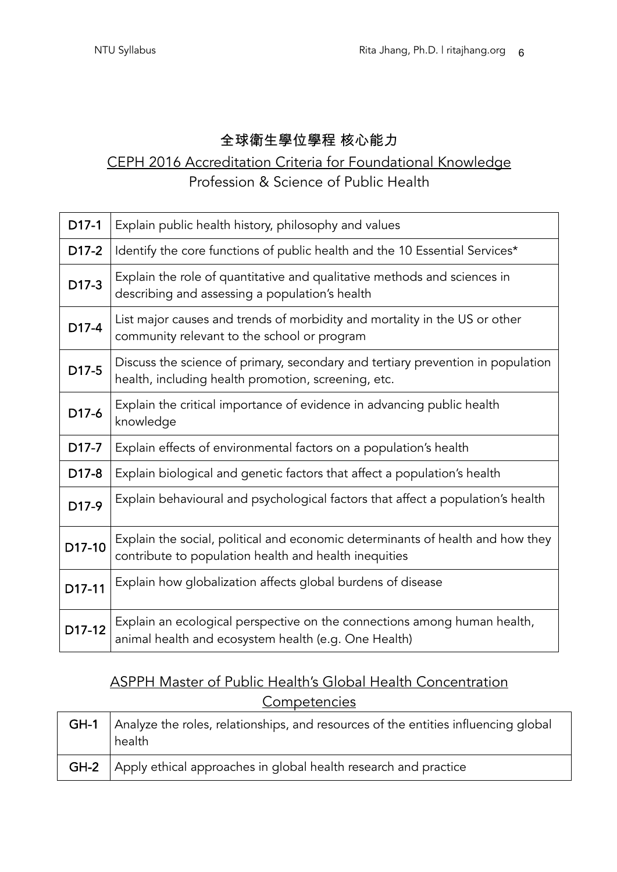#### 全球衛生學位學程 核心能力

## CEPH 2016 Accreditation Criteria for Foundational Knowledge Profession & Science of Public Health

| $D17-1$           | Explain public health history, philosophy and values                                                                                    |
|-------------------|-----------------------------------------------------------------------------------------------------------------------------------------|
| D17-2             | Identify the core functions of public health and the 10 Essential Services*                                                             |
| D17-3             | Explain the role of quantitative and qualitative methods and sciences in<br>describing and assessing a population's health              |
| D17-4             | List major causes and trends of morbidity and mortality in the US or other<br>community relevant to the school or program               |
| D17-5             | Discuss the science of primary, secondary and tertiary prevention in population<br>health, including health promotion, screening, etc.  |
| D17-6             | Explain the critical importance of evidence in advancing public health<br>knowledge                                                     |
| D17-7             | Explain effects of environmental factors on a population's health                                                                       |
| D <sub>17-8</sub> | Explain biological and genetic factors that affect a population's health                                                                |
| D <sub>17-9</sub> | Explain behavioural and psychological factors that affect a population's health                                                         |
| D17-10            | Explain the social, political and economic determinants of health and how they<br>contribute to population health and health inequities |
| D17-11            | Explain how globalization affects global burdens of disease                                                                             |
| D17-12            | Explain an ecological perspective on the connections among human health,<br>animal health and ecosystem health (e.g. One Health)        |

# ASPPH Master of Public Health's Global Health Concentration **Competencies**

| GH-1   Analyze the roles, relationships, and resources of the entities influencing global<br>health |
|-----------------------------------------------------------------------------------------------------|
| <b>GH-2</b> Apply ethical approaches in global health research and practice                         |